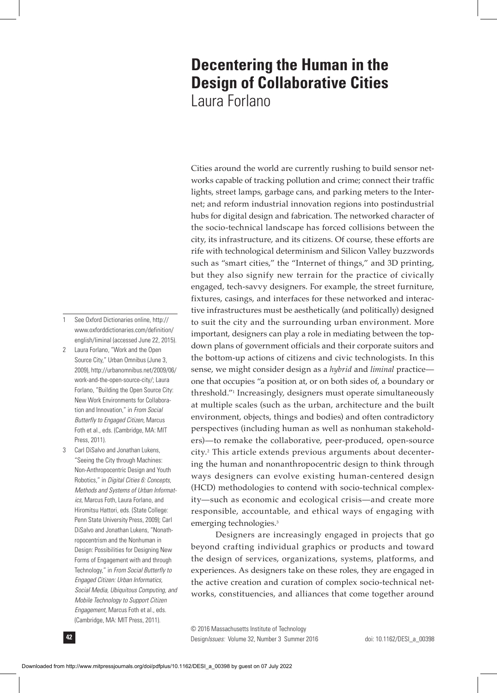# **Decentering the Human in the Design of Collaborative Cities**  Laura Forlano

Cities around the world are currently rushing to build sensor networks capable of tracking pollution and crime; connect their traffic lights, street lamps, garbage cans, and parking meters to the Internet; and reform industrial innovation regions into postindustrial hubs for digital design and fabrication. The networked character of the socio-technical landscape has forced collisions between the city, its infrastructure, and its citizens. Of course, these efforts are rife with technological determinism and Silicon Valley buzzwords such as "smart cities," the "Internet of things," and 3D printing, but they also signify new terrain for the practice of civically engaged, tech-savvy designers. For example, the street furniture, fixtures, casings, and interfaces for these networked and interactive infrastructures must be aesthetically (and politically) designed to suit the city and the surrounding urban environment. More important, designers can play a role in mediating between the topdown plans of government officials and their corporate suitors and the bottom-up actions of citizens and civic technologists. In this sense, we might consider design as a *hybrid* and *liminal* practice one that occupies "a position at, or on both sides of, a boundary or threshold."1 Increasingly, designers must operate simultaneously at multiple scales (such as the urban, architecture and the built environment, objects, things and bodies) and often contradictory perspectives (including human as well as nonhuman stakeholders)—to remake the collaborative, peer-produced, open-source city.2 This article extends previous arguments about decentering the human and nonanthropocentric design to think through ways designers can evolve existing human-centered design (HCD) methodologies to contend with socio-technical complexity—such as economic and ecological crisis—and create more responsible, accountable, and ethical ways of engaging with emerging technologies.3

Designers are increasingly engaged in projects that go beyond crafting individual graphics or products and toward the design of services, organizations, systems, platforms, and experiences. As designers take on these roles, they are engaged in the active creation and curation of complex socio-technical networks, constituencies, and alliances that come together around

Design*Issues:* Volume 32, Number 3 Summer 2016 **42** © 2016 Massachusetts Institute of Technology

www.oxforddictionaries.com/definition/ english/liminal (accessed June 22, 2015). 2 Laura Forlano, "Work and the Open Source City," Urban Omnibus (June 3,

1 See Oxford Dictionaries online, http://

- 2009), http://urbanomnibus.net/2009/06/ work-and-the-open-source-city/; Laura Forlano, "Building the Open Source City: New Work Environments for Collaboration and Innovation," in *From Social Butterfly to Engaged Citizen,* Marcus Foth et al., eds. (Cambridge, MA: MIT Press, 2011).
- 3 Carl DiSalvo and Jonathan Lukens, "Seeing the City through Machines: Non-Anthropocentric Design and Youth Robotics," in *Digital Cities 6: Concepts, Methods and Systems of Urban Informatics,* Marcus Foth, Laura Forlano, and Hiromitsu Hattori, eds. (State College: Penn State University Press, 2009); Carl DiSalvo and Jonathan Lukens, "Nonathropocentrism and the Nonhuman in Design: Possibilities for Designing New Forms of Engagement with and through Technology," in *From Social Butterfly to Engaged Citizen: Urban Informatics, Social Media, Ubiquitous Computing, and Mobile Technology to Support Citizen Engagement,* Marcus Foth et al., eds. (Cambridge, MA: MIT Press, 2011).

Downloaded from http://www.mitpressjournals.org/doi/pdfplus/10.1162/DESI\_a\_00398 by guest on 07 July 2022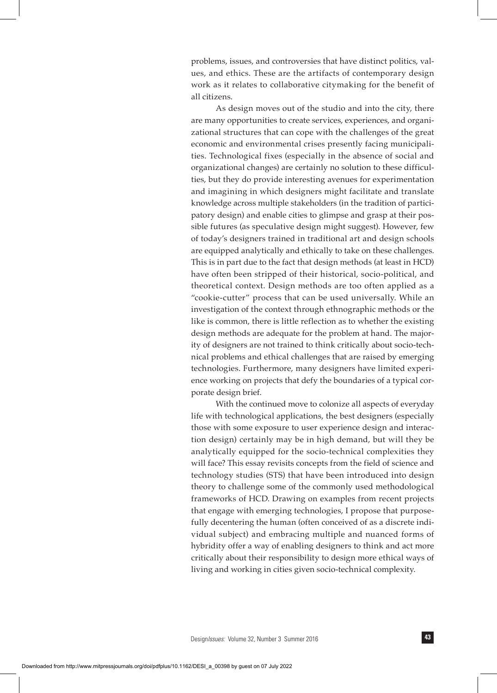problems, issues, and controversies that have distinct politics, values, and ethics. These are the artifacts of contemporary design work as it relates to collaborative citymaking for the benefit of all citizens.

As design moves out of the studio and into the city, there are many opportunities to create services, experiences, and organizational structures that can cope with the challenges of the great economic and environmental crises presently facing municipalities. Technological fixes (especially in the absence of social and organizational changes) are certainly no solution to these difficulties, but they do provide interesting avenues for experimentation and imagining in which designers might facilitate and translate knowledge across multiple stakeholders (in the tradition of participatory design) and enable cities to glimpse and grasp at their possible futures (as speculative design might suggest). However, few of today's designers trained in traditional art and design schools are equipped analytically and ethically to take on these challenges. This is in part due to the fact that design methods (at least in HCD) have often been stripped of their historical, socio-political, and theoretical context. Design methods are too often applied as a "cookie-cutter" process that can be used universally. While an investigation of the context through ethnographic methods or the like is common, there is little reflection as to whether the existing design methods are adequate for the problem at hand. The majority of designers are not trained to think critically about socio-technical problems and ethical challenges that are raised by emerging technologies. Furthermore, many designers have limited experience working on projects that defy the boundaries of a typical corporate design brief.

With the continued move to colonize all aspects of everyday life with technological applications, the best designers (especially those with some exposure to user experience design and interaction design) certainly may be in high demand, but will they be analytically equipped for the socio-technical complexities they will face? This essay revisits concepts from the field of science and technology studies (STS) that have been introduced into design theory to challenge some of the commonly used methodological frameworks of HCD. Drawing on examples from recent projects that engage with emerging technologies, I propose that purposefully decentering the human (often conceived of as a discrete individual subject) and embracing multiple and nuanced forms of hybridity offer a way of enabling designers to think and act more critically about their responsibility to design more ethical ways of living and working in cities given socio-technical complexity.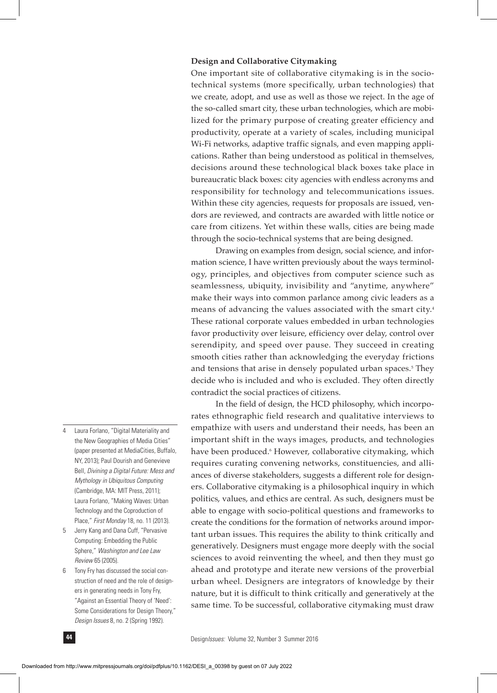#### **Design and Collaborative Citymaking**

One important site of collaborative citymaking is in the sociotechnical systems (more specifically, urban technologies) that we create, adopt, and use as well as those we reject. In the age of the so-called smart city, these urban technologies, which are mobilized for the primary purpose of creating greater efficiency and productivity, operate at a variety of scales, including municipal Wi-Fi networks, adaptive traffic signals, and even mapping applications. Rather than being understood as political in themselves, decisions around these technological black boxes take place in bureaucratic black boxes: city agencies with endless acronyms and responsibility for technology and telecommunications issues. Within these city agencies, requests for proposals are issued, vendors are reviewed, and contracts are awarded with little notice or care from citizens. Yet within these walls, cities are being made through the socio-technical systems that are being designed.

Drawing on examples from design, social science, and information science, I have written previously about the ways terminology, principles, and objectives from computer science such as seamlessness, ubiquity, invisibility and "anytime, anywhere" make their ways into common parlance among civic leaders as a means of advancing the values associated with the smart city.4 These rational corporate values embedded in urban technologies favor productivity over leisure, efficiency over delay, control over serendipity, and speed over pause. They succeed in creating smooth cities rather than acknowledging the everyday frictions and tensions that arise in densely populated urban spaces.5 They decide who is included and who is excluded. They often directly contradict the social practices of citizens.

In the field of design, the HCD philosophy, which incorporates ethnographic field research and qualitative interviews to empathize with users and understand their needs, has been an important shift in the ways images, products, and technologies have been produced.6 However, collaborative citymaking, which requires curating convening networks, constituencies, and alliances of diverse stakeholders, suggests a different role for designers. Collaborative citymaking is a philosophical inquiry in which politics, values, and ethics are central. As such, designers must be able to engage with socio-political questions and frameworks to create the conditions for the formation of networks around important urban issues. This requires the ability to think critically and generatively. Designers must engage more deeply with the social sciences to avoid reinventing the wheel, and then they must go ahead and prototype and iterate new versions of the proverbial urban wheel. Designers are integrators of knowledge by their nature, but it is difficult to think critically and generatively at the same time. To be successful, collaborative citymaking must draw

- 4 Laura Forlano, "Digital Materiality and the New Geographies of Media Cities" (paper presented at MediaCities, Buffalo, NY, 2013); Paul Dourish and Genevieve Bell, *Divining a Digital Future: Mess and Mythology in Ubiquitous Computing* (Cambridge, MA: MIT Press, 2011); Laura Forlano, "Making Waves: Urban Technology and the Coproduction of Place," *First Monday* 18, no. 11 (2013).
- 5 Jerry Kang and Dana Cuff, "Pervasive Computing: Embedding the Public Sphere," *Washington and Lee Law Review* 65 (2005).
- 6 Tony Fry has discussed the social construction of need and the role of designers in generating needs in Tony Fry, "Against an Essential Theory of 'Need': Some Considerations for Design Theory," *Design Issues* 8, no. 2 (Spring 1992).

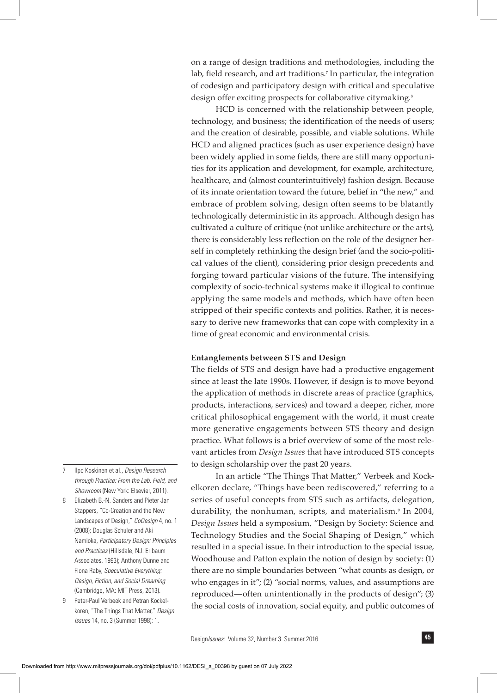on a range of design traditions and methodologies, including the lab, field research, and art traditions.7 In particular, the integration of codesign and participatory design with critical and speculative design offer exciting prospects for collaborative citymaking.<sup>8</sup>

HCD is concerned with the relationship between people, technology, and business; the identification of the needs of users; and the creation of desirable, possible, and viable solutions. While HCD and aligned practices (such as user experience design) have been widely applied in some fields, there are still many opportunities for its application and development, for example, architecture, healthcare, and (almost counterintuitively) fashion design. Because of its innate orientation toward the future, belief in "the new," and embrace of problem solving, design often seems to be blatantly technologically deterministic in its approach. Although design has cultivated a culture of critique (not unlike architecture or the arts), there is considerably less reflection on the role of the designer herself in completely rethinking the design brief (and the socio-political values of the client), considering prior design precedents and forging toward particular visions of the future. The intensifying complexity of socio-technical systems make it illogical to continue applying the same models and methods, which have often been stripped of their specific contexts and politics. Rather, it is necessary to derive new frameworks that can cope with complexity in a time of great economic and environmental crisis.

#### **Entanglements between STS and Design**

The fields of STS and design have had a productive engagement since at least the late 1990s. However, if design is to move beyond the application of methods in discrete areas of practice (graphics, products, interactions, services) and toward a deeper, richer, more critical philosophical engagement with the world, it must create more generative engagements between STS theory and design practice. What follows is a brief overview of some of the most relevant articles from *Design Issues* that have introduced STS concepts to design scholarship over the past 20 years.

In an article "The Things That Matter," Verbeek and Kockelkoren declare, "Things have been rediscovered," referring to a series of useful concepts from STS such as artifacts, delegation, durability, the nonhuman, scripts, and materialism.9 In 2004, *Design Issues* held a symposium, "Design by Society: Science and Technology Studies and the Social Shaping of Design," which resulted in a special issue. In their introduction to the special issue, Woodhouse and Patton explain the notion of design by society: (1) there are no simple boundaries between "what counts as design, or who engages in it"; (2) "social norms, values, and assumptions are reproduced—often unintentionally in the products of design"; (3) the social costs of innovation, social equity, and public outcomes of

- 7 Ilpo Koskinen et al., *Design Research through Practice: From the Lab, Field, and Showroom* (New York: Elsevier, 2011).
- 8 Elizabeth B.-N. Sanders and Pieter Jan Stappers, "Co-Creation and the New Landscapes of Design," *CoDesign* 4, no. 1 (2008); Douglas Schuler and Aki Namioka, *Participatory Design: Principles and Practices* (Hillsdale, NJ: Erlbaum Associates, 1993); Anthony Dunne and Fiona Raby, *Speculative Everything: Design, Fiction, and Social Dreaming* (Cambridge, MA: MIT Press, 2013).
- 9 Peter-Paul Verbeek and Petran Kockelkoren, "The Things That Matter," *Design Issues* 14, no. 3 (Summer 1998): 1.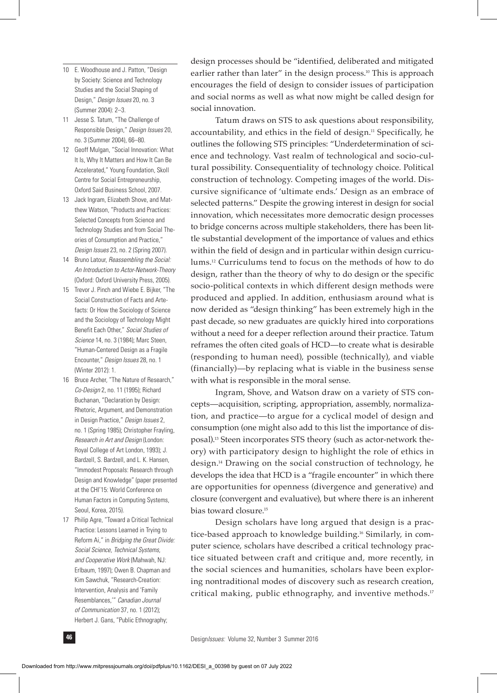- 10 E. Woodhouse and J. Patton, "Design by Society: Science and Technology Studies and the Social Shaping of Design," *Design Issues* 20, no. 3 (Summer 2004): 2–3.
- 11 Jesse S. Tatum, "The Challenge of Responsible Design," *Design Issues* 20, no. 3 (Summer 2004), 66–80.
- 12 Geoff Mulgan, "Social Innovation: What It Is, Why It Matters and How It Can Be Accelerated," Young Foundation, Skoll Centre for Social Entrepreneurship, Oxford Said Business School, 2007.
- 13 Jack Ingram, Elizabeth Shove, and Matthew Watson, "Products and Practices: Selected Concepts from Science and Technology Studies and from Social Theories of Consumption and Practice," *Design Issues* 23, no. 2 (Spring 2007).
- 14 Bruno Latour, *Reassembling the Social: An Introduction to Actor-Network-Theory* (Oxford: Oxford University Press, 2005).
- 15 Trevor J. Pinch and Wiebe E. Bijker, "The Social Construction of Facts and Artefacts: Or How the Sociology of Science and the Sociology of Technology Might Benefit Each Other," *Social Studies of Science* 14, no. 3 (1984); Marc Steen, "Human-Centered Design as a Fragile Encounter," *Design Issues* 28, no. 1 (Winter 2012): 1.
- 16 Bruce Archer, "The Nature of Research," *Co-Design* 2, no. 11 (1995); Richard Buchanan, "Declaration by Design: Rhetoric, Argument, and Demonstration in Design Practice," *Design Issues* 2, no. 1 (Spring 1985); Christopher Frayling, *Research in Art and Design* (London: Royal College of Art London, 1993); J. Bardzell, S. Bardzell, and L. K. Hansen, "Immodest Proposals: Research through Design and Knowledge" (paper presented at the CHI'15: World Conference on Human Factors in Computing Systems, Seoul, Korea, 2015).
- 17 Philip Agre, "Toward a Critical Technical Practice: Lessons Learned in Trying to Reform Ai," in *Bridging the Great Divide: Social Science, Technical Systems, and Cooperative Work* (Mahwah, NJ: Erlbaum, 1997); Owen B. Chapman and Kim Sawchuk, "Research-Creation: Intervention, Analysis and 'Family Resemblances,'" *Canadian Journal of Communication* 37, no. 1 (2012); Herbert J. Gans, "Public Ethnography;

design processes should be "identified, deliberated and mitigated earlier rather than later" in the design process.<sup>10</sup> This is approach encourages the field of design to consider issues of participation and social norms as well as what now might be called design for social innovation.

Tatum draws on STS to ask questions about responsibility, accountability, and ethics in the field of design.<sup>11</sup> Specifically, he outlines the following STS principles: "Underdetermination of science and technology. Vast realm of technological and socio-cultural possibility. Consequentiality of technology choice. Political construction of technology. Competing images of the world. Discursive significance of 'ultimate ends.' Design as an embrace of selected patterns." Despite the growing interest in design for social innovation, which necessitates more democratic design processes to bridge concerns across multiple stakeholders, there has been little substantial development of the importance of values and ethics within the field of design and in particular within design curriculums.12 Curriculums tend to focus on the methods of how to do design, rather than the theory of why to do design or the specific socio-political contexts in which different design methods were produced and applied. In addition, enthusiasm around what is now derided as "design thinking" has been extremely high in the past decade, so new graduates are quickly hired into corporations without a need for a deeper reflection around their practice. Tatum reframes the often cited goals of HCD—to create what is desirable (responding to human need), possible (technically), and viable (financially)—by replacing what is viable in the business sense with what is responsible in the moral sense.

Ingram, Shove, and Watson draw on a variety of STS concepts—acquisition, scripting, appropriation, assembly, normalization, and practice—to argue for a cyclical model of design and consumption (one might also add to this list the importance of disposal).13 Steen incorporates STS theory (such as actor-network theory) with participatory design to highlight the role of ethics in design.14 Drawing on the social construction of technology, he develops the idea that HCD is a "fragile encounter" in which there are opportunities for openness (divergence and generative) and closure (convergent and evaluative), but where there is an inherent bias toward closure.15

Design scholars have long argued that design is a practice-based approach to knowledge building.<sup>16</sup> Similarly, in computer science, scholars have described a critical technology practice situated between craft and critique and, more recently, in the social sciences and humanities, scholars have been exploring nontraditional modes of discovery such as research creation, critical making, public ethnography, and inventive methods.<sup>17</sup>

Design*Issues:* Volume 32, Number 3 Summer 2016 **46**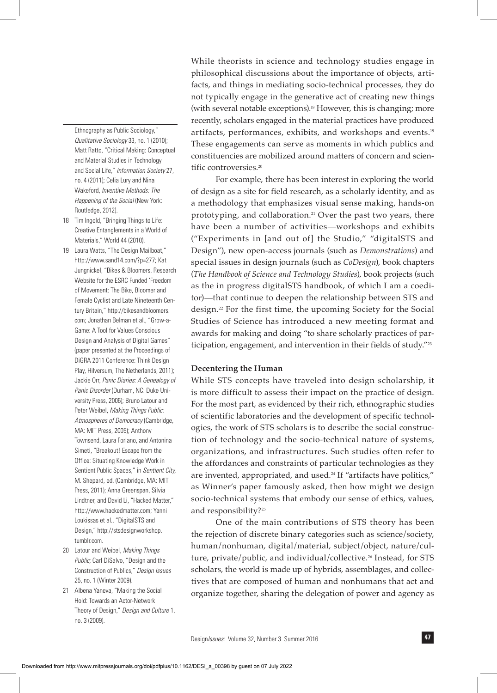Matt Ratto, "Critical Making: Conceptual and Material Studies in Technology and Social Life," *Information Society* 27, no. 4 (2011); Celia Lury and Nina Wakeford, *Inventive Methods: The Happening of the Social* (New York: Routledge, 2012). 18 Tim Ingold, "Bringing Things to Life: Creative Entanglements in a World of

Ethnography as Public Sociology," *Qualitative Sociology* 33, no. 1 (2010);

- Materials," World 44 (2010). 19 Laura Watts, "The Design Mailboat," http://www.sand14.com/?p=277; Kat Jungnickel, "Bikes & Bloomers. Research Website for the ESRC Funded 'Freedom of Movement: The Bike, Bloomer and Female Cyclist and Late Nineteenth Century Britain," http://bikesandbloomers. com; Jonathan Belman et al., "Grow-a-Game: A Tool for Values Conscious Design and Analysis of Digital Games" (paper presented at the Proceedings of DiGRA 2011 Conference: Think Design Play, Hilversum, The Netherlands, 2011); Jackie Orr, *Panic Diaries: A Genealogy of Panic Disorder* (Durham, NC: Duke University Press, 2006); Bruno Latour and Peter Weibel, *Making Things Public: Atmospheres of Democracy* (Cambridge, MA: MIT Press, 2005); Anthony Townsend, Laura Forlano, and Antonina Simeti, "Breakout! Escape from the Office: Situating Knowledge Work in Sentient Public Spaces," in *Sentient City,* M. Shepard, ed. (Cambridge, MA: MIT Press, 2011); Anna Greenspan, Silvia Lindtner, and David Li, "Hacked Matter," http://www.hackedmatter.com; Yanni Loukissas et al., "DigitalSTS and Design," http://stsdesignworkshop. tumblr.com.
- 20 Latour and Weibel, *Making Things Public;* Carl DiSalvo, "Design and the Construction of Publics," *Design Issues* 25, no. 1 (Winter 2009).
- 21 Albena Yaneva, "Making the Social Hold: Towards an Actor-Network Theory of Design," *Design and Culture* 1, no. 3 (2009).

While theorists in science and technology studies engage in philosophical discussions about the importance of objects, artifacts, and things in mediating socio-technical processes, they do not typically engage in the generative act of creating new things (with several notable exceptions).18 However, this is changing; more recently, scholars engaged in the material practices have produced artifacts, performances, exhibits, and workshops and events.19 These engagements can serve as moments in which publics and constituencies are mobilized around matters of concern and scientific controversies.<sup>20</sup>

For example, there has been interest in exploring the world of design as a site for field research, as a scholarly identity, and as a methodology that emphasizes visual sense making, hands-on prototyping, and collaboration.<sup>21</sup> Over the past two years, there have been a number of activities—workshops and exhibits ("Experiments in [and out of] the Studio," "digitalSTS and Design"), new open-access journals (such as *Demonstrations*) and special issues in design journals (such as *CoDesign*), book chapters (*The Handbook of Science and Technology Studies*), book projects (such as the in progress digitalSTS handbook, of which I am a coeditor)—that continue to deepen the relationship between STS and design.22 For the first time, the upcoming Society for the Social Studies of Science has introduced a new meeting format and awards for making and doing "to share scholarly practices of participation, engagement, and intervention in their fields of study."<sup>23</sup>

#### **Decentering the Human**

While STS concepts have traveled into design scholarship, it is more difficult to assess their impact on the practice of design. For the most part, as evidenced by their rich, ethnographic studies of scientific laboratories and the development of specific technologies, the work of STS scholars is to describe the social construction of technology and the socio-technical nature of systems, organizations, and infrastructures. Such studies often refer to the affordances and constraints of particular technologies as they are invented, appropriated, and used.<sup>24</sup> If "artifacts have politics," as Winner's paper famously asked, then how might we design socio-technical systems that embody our sense of ethics, values, and responsibility?25

One of the main contributions of STS theory has been the rejection of discrete binary categories such as science/society, human/nonhuman, digital/material, subject/object, nature/culture, private/public, and individual/collective.<sup>26</sup> Instead, for STS scholars, the world is made up of hybrids, assemblages, and collectives that are composed of human and nonhumans that act and organize together, sharing the delegation of power and agency as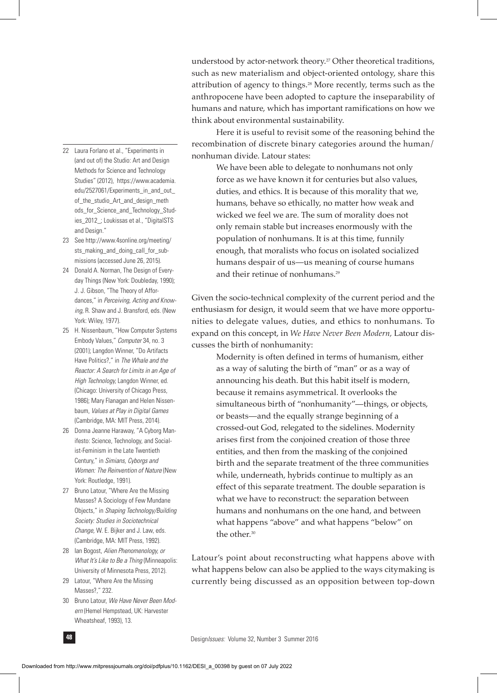- 22 Laura Forlano et al., "Experiments in (and out of) the Studio: Art and Design Methods for Science and Technology Studies" (2012), https://www.academia. edu/2527061/Experiments\_in\_and\_out\_ of\_the\_studio\_Art\_and\_design\_meth ods\_for\_Science\_and\_Technology\_Studies\_2012\_; Loukissas et al., "DigitalSTS and Design."
- 23 See http://www.4sonline.org/meeting/ sts\_making\_and\_doing\_call\_for\_submissions (accessed June 26, 2015).
- 24 Donald A. Norman, The Design of Everyday Things (New York: Doubleday, 1990); J. J. Gibson, "The Theory of Affordances," in *Perceiving, Acting and Knowing,* R. Shaw and J. Bransford, eds. (New York: Wiley, 1977).
- 25 H. Nissenbaum, "How Computer Systems Embody Values," *Computer* 34, no. 3 (2001); Langdon Winner, "Do Artifacts Have Politics?," in *The Whale and the Reactor: A Search for Limits in an Age of High Technology,* Langdon Winner, ed. (Chicago: University of Chicago Press, 1986); Mary Flanagan and Helen Nissenbaum, *Values at Play in Digital Games* (Cambridge, MA: MIT Press, 2014).
- 26 Donna Jeanne Haraway, "A Cyborg Manifesto: Science, Technology, and Socialist-Feminism in the Late Twentieth Century," in *Simians, Cyborgs and Women: The Reinvention of Nature* (New York: Routledge, 1991).
- 27 Bruno Latour, "Where Are the Missing Masses? A Sociology of Few Mundane Objects," in *Shaping Technology/Building Society: Studies in Sociotechnical Change,* W. E. Bijker and J. Law, eds. (Cambridge, MA: MIT Press, 1992).
- 28 Ian Bogost, *Alien Phenomenology, or What It's Like to Be a Thing* (Minneapolis: University of Minnesota Press, 2012).
- 29 Latour, "Where Are the Missing Masses?," 232.
- 30 Bruno Latour, *We Have Never Been Modern* (Hemel Hempstead, UK: Harvester Wheatsheaf, 1993), 13.

understood by actor-network theory.<sup>27</sup> Other theoretical traditions, such as new materialism and object-oriented ontology, share this attribution of agency to things.<sup>28</sup> More recently, terms such as the anthropocene have been adopted to capture the inseparability of humans and nature, which has important ramifications on how we think about environmental sustainability.

Here it is useful to revisit some of the reasoning behind the recombination of discrete binary categories around the human/ nonhuman divide. Latour states:

We have been able to delegate to nonhumans not only force as we have known it for centuries but also values, duties, and ethics. It is because of this morality that we, humans, behave so ethically, no matter how weak and wicked we feel we are. The sum of morality does not only remain stable but increases enormously with the population of nonhumans. It is at this time, funnily enough, that moralists who focus on isolated socialized humans despair of us—us meaning of course humans and their retinue of nonhumans.29

Given the socio-technical complexity of the current period and the enthusiasm for design, it would seem that we have more opportunities to delegate values, duties, and ethics to nonhumans. To expand on this concept, in *We Have Never Been Modern,* Latour discusses the birth of nonhumanity:

> Modernity is often defined in terms of humanism, either as a way of saluting the birth of "man" or as a way of announcing his death. But this habit itself is modern, because it remains asymmetrical. It overlooks the simultaneous birth of "nonhumanity"—things, or objects, or beasts—and the equally strange beginning of a crossed-out God, relegated to the sidelines. Modernity arises first from the conjoined creation of those three entities, and then from the masking of the conjoined birth and the separate treatment of the three communities while, underneath, hybrids continue to multiply as an effect of this separate treatment. The double separation is what we have to reconstruct: the separation between humans and nonhumans on the one hand, and between what happens "above" and what happens "below" on the other.30

Latour's point about reconstructing what happens above with what happens below can also be applied to the ways citymaking is currently being discussed as an opposition between top-down



Design*Issues:* Volume 32, Number 3 Summer 2016 **48**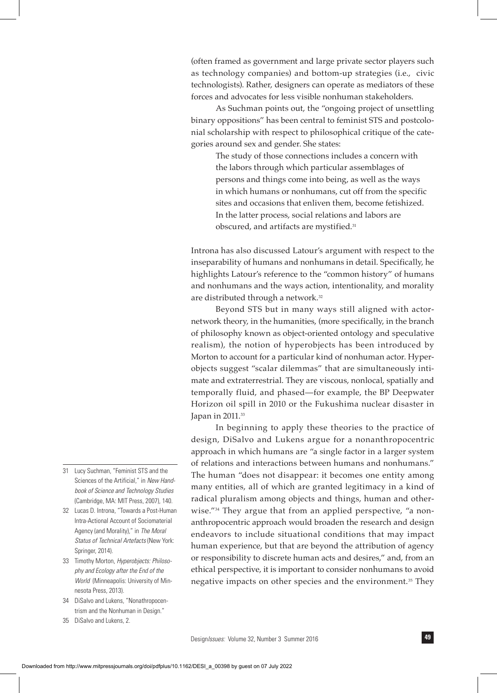(often framed as government and large private sector players such as technology companies) and bottom-up strategies (i.e., civic technologists). Rather, designers can operate as mediators of these forces and advocates for less visible nonhuman stakeholders.

As Suchman points out, the "ongoing project of unsettling binary oppositions" has been central to feminist STS and postcolonial scholarship with respect to philosophical critique of the categories around sex and gender. She states:

The study of those connections includes a concern with the labors through which particular assemblages of persons and things come into being, as well as the ways in which humans or nonhumans, cut off from the specific sites and occasions that enliven them, become fetishized. In the latter process, social relations and labors are obscured, and artifacts are mystified.31

Introna has also discussed Latour's argument with respect to the inseparability of humans and nonhumans in detail. Specifically, he highlights Latour's reference to the "common history" of humans and nonhumans and the ways action, intentionality, and morality are distributed through a network.<sup>32</sup>

Beyond STS but in many ways still aligned with actornetwork theory, in the humanities, (more specifically, in the branch of philosophy known as object-oriented ontology and speculative realism), the notion of hyperobjects has been introduced by Morton to account for a particular kind of nonhuman actor. Hyperobjects suggest "scalar dilemmas" that are simultaneously intimate and extraterrestrial. They are viscous, nonlocal, spatially and temporally fluid, and phased—for example, the BP Deepwater Horizon oil spill in 2010 or the Fukushima nuclear disaster in Japan in 2011.<sup>33</sup>

In beginning to apply these theories to the practice of design, DiSalvo and Lukens argue for a nonanthropocentric approach in which humans are "a single factor in a larger system of relations and interactions between humans and nonhumans." The human "does not disappear: it becomes one entity among many entities, all of which are granted legitimacy in a kind of radical pluralism among objects and things, human and otherwise."<sup>34</sup> They argue that from an applied perspective, "a nonanthropocentric approach would broaden the research and design endeavors to include situational conditions that may impact human experience, but that are beyond the attribution of agency or responsibility to discrete human acts and desires," and, from an ethical perspective, it is important to consider nonhumans to avoid negative impacts on other species and the environment.<sup>35</sup> They

- 32 Lucas D. Introna, "Towards a Post-Human Intra-Actional Account of Sociomaterial Agency (and Morality)," in *The Moral Status of Technical Artefacts* (New York: Springer, 2014).
- 33 Timothy Morton, *Hyperobjects: Philosophy and Ecology after the End of the World* (Minneapolis: University of Minnesota Press, 2013).
- 34 DiSalvo and Lukens, "Nonathropocentrism and the Nonhuman in Design."
- 35 DiSalvo and Lukens, 2.

<sup>31</sup> Lucy Suchman, "Feminist STS and the Sciences of the Artificial," in *New Handbook of Science and Technology Studies* (Cambridge, MA: MIT Press, 2007), 140.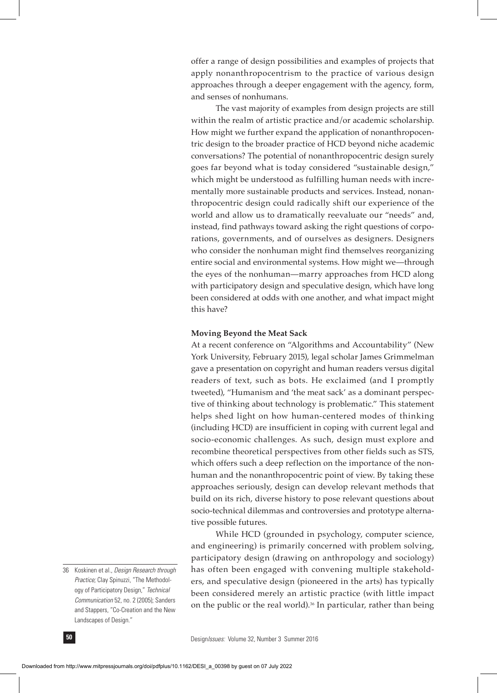offer a range of design possibilities and examples of projects that apply nonanthropocentrism to the practice of various design approaches through a deeper engagement with the agency, form, and senses of nonhumans.

The vast majority of examples from design projects are still within the realm of artistic practice and/or academic scholarship. How might we further expand the application of nonanthropocentric design to the broader practice of HCD beyond niche academic conversations? The potential of nonanthropocentric design surely goes far beyond what is today considered "sustainable design," which might be understood as fulfilling human needs with incrementally more sustainable products and services. Instead, nonanthropocentric design could radically shift our experience of the world and allow us to dramatically reevaluate our "needs" and, instead, find pathways toward asking the right questions of corporations, governments, and of ourselves as designers. Designers who consider the nonhuman might find themselves reorganizing entire social and environmental systems. How might we—through the eyes of the nonhuman—marry approaches from HCD along with participatory design and speculative design, which have long been considered at odds with one another, and what impact might this have?

## **Moving Beyond the Meat Sack**

At a recent conference on "Algorithms and Accountability" (New York University, February 2015), legal scholar James Grimmelman gave a presentation on copyright and human readers versus digital readers of text, such as bots. He exclaimed (and I promptly tweeted), "Humanism and 'the meat sack' as a dominant perspective of thinking about technology is problematic." This statement helps shed light on how human-centered modes of thinking (including HCD) are insufficient in coping with current legal and socio-economic challenges. As such, design must explore and recombine theoretical perspectives from other fields such as STS, which offers such a deep reflection on the importance of the nonhuman and the nonanthropocentric point of view. By taking these approaches seriously, design can develop relevant methods that build on its rich, diverse history to pose relevant questions about socio-technical dilemmas and controversies and prototype alternative possible futures.

While HCD (grounded in psychology, computer science, and engineering) is primarily concerned with problem solving, participatory design (drawing on anthropology and sociology) has often been engaged with convening multiple stakeholders, and speculative design (pioneered in the arts) has typically been considered merely an artistic practice (with little impact on the public or the real world).<sup>36</sup> In particular, rather than being

<sup>36</sup> Koskinen et al., *Design Research through Practice;* Clay Spinuzzi, "The Methodology of Participatory Design," *Technical Communication* 52, no. 2 (2005); Sanders and Stappers, "Co-Creation and the New Landscapes of Design."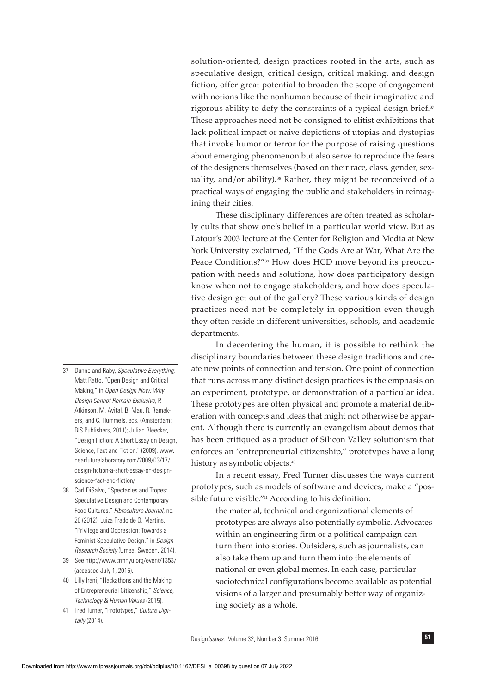solution-oriented, design practices rooted in the arts, such as speculative design, critical design, critical making, and design fiction, offer great potential to broaden the scope of engagement with notions like the nonhuman because of their imaginative and rigorous ability to defy the constraints of a typical design brief. $37$ These approaches need not be consigned to elitist exhibitions that lack political impact or naive depictions of utopias and dystopias that invoke humor or terror for the purpose of raising questions about emerging phenomenon but also serve to reproduce the fears of the designers themselves (based on their race, class, gender, sexuality, and/or ability). $38$  Rather, they might be reconceived of a practical ways of engaging the public and stakeholders in reimagining their cities.

These disciplinary differences are often treated as scholarly cults that show one's belief in a particular world view. But as Latour's 2003 lecture at the Center for Religion and Media at New York University exclaimed, "If the Gods Are at War, What Are the Peace Conditions?"39 How does HCD move beyond its preoccupation with needs and solutions, how does participatory design know when not to engage stakeholders, and how does speculative design get out of the gallery? These various kinds of design practices need not be completely in opposition even though they often reside in different universities, schools, and academic departments.

In decentering the human, it is possible to rethink the disciplinary boundaries between these design traditions and create new points of connection and tension. One point of connection that runs across many distinct design practices is the emphasis on an experiment, prototype, or demonstration of a particular idea. These prototypes are often physical and promote a material deliberation with concepts and ideas that might not otherwise be apparent. Although there is currently an evangelism about demos that has been critiqued as a product of Silicon Valley solutionism that enforces an "entrepreneurial citizenship," prototypes have a long history as symbolic objects.<sup>40</sup>

In a recent essay, Fred Turner discusses the ways current prototypes, such as models of software and devices, make a "possible future visible."41 According to his definition:

the material, technical and organizational elements of prototypes are always also potentially symbolic. Advocates within an engineering firm or a political campaign can turn them into stories. Outsiders, such as journalists, can also take them up and turn them into the elements of national or even global memes. In each case, particular sociotechnical configurations become available as potential visions of a larger and presumably better way of organizing society as a whole.

- 37 Dunne and Raby, *Speculative Everything;* Matt Ratto, "Open Design and Critical Making," in *Open Design Now: Why Design Cannot Remain Exclusive,* P. Atkinson, M. Avital, B. Mau, R. Ramakers, and C. Hummels, eds. (Amsterdam: BIS Publishers, 2011); Julian Bleecker, "Design Fiction: A Short Essay on Design, Science, Fact and Fiction," (2009), www. nearfuturelaboratory.com/2009/03/17/ design-fiction-a-short-essay-on-designscience-fact-and-fiction/
- 38 Carl DiSalvo, "Spectacles and Tropes: Speculative Design and Contemporary Food Cultures," *Fibreculture Journal*, no. 20 (2012); Luiza Prado de O. Martins, "Privilege and Oppression: Towards a Feminist Speculative Design," in *Design Research Society* (Umea, Sweden, 2014).
- 39 See http://www.crmnyu.org/event/1353/ (accessed July 1, 2015).
- 40 Lilly Irani, "Hackathons and the Making of Entrepreneurial Citizenship," *Science, Technology & Human Values* (2015).
- 41 Fred Turner, "Prototypes," *Culture Digitally* (2014).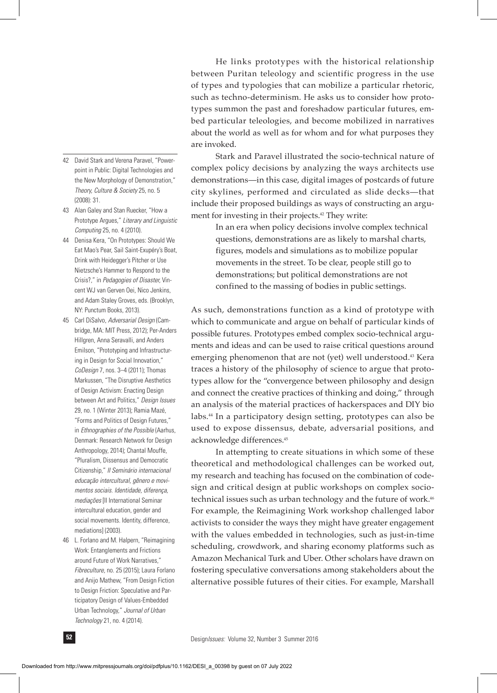- - Downloaded from http://www.mitpressjournals.org/doi/pdfplus/10.1162/DESI\_a\_00398 by guest on 07 July 2022
- 
- 42 David Stark and Verena Paravel, "Powerpoint in Public: Digital Technologies and the New Morphology of Demonstration," *Theory, Culture & Society* 25, no. 5 (2008): 31.
- 43 Alan Galey and Stan Ruecker, "How a Prototype Argues," *Literary and Linguistic Computing* 25, no. 4 (2010).
- 44 Denisa Kera, "On Prototypes: Should We Eat Mao's Pear, Sail Saint-Exupéry's Boat, Drink with Heidegger's Pitcher or Use Nietzsche's Hammer to Respond to the Crisis?," in *Pedagogies of Disaster,* Vincent WJ van Gerven Oei, Nico Jenkins, and Adam Staley Groves, eds. (Brooklyn, NY: Punctum Books, 2013).
- 45 Carl DiSalvo, *Adversarial Design* (Cambridge, MA: MIT Press, 2012); Per-Anders Hillgren, Anna Seravalli, and Anders Emilson, "Prototyping and Infrastructuring in Design for Social Innovation," *CoDesign* 7, nos. 3–4 (2011); Thomas Markussen, "The Disruptive Aesthetics of Design Activism: Enacting Design between Art and Politics," *Design Issues*  29, no. 1 (Winter 2013); Ramia Mazé, "Forms and Politics of Design Futures," in *Ethnographies of the Possible* (Aarhus, Denmark: Research Network for Design Anthropology, 2014); Chantal Mouffe, "Pluralism, Dissensus and Democratic Citizenship," *II Seminário internacional educação intercultural, gênero e movimentos sociais. Identidade, diferença, mediações* [II International Seminar intercultural education, gender and social movements. Identity, difference, mediations] (2003).
- 46 L. Forlano and M. Halpern, "Reimagining Work: Entanglements and Frictions around Future of Work Narratives," *Fibreculture,* no. 25 (2015); Laura Forlano and Anijo Mathew, "From Design Fiction to Design Friction: Speculative and Participatory Design of Values-Embedded Urban Technology," *Journal of Urban Technology* 21, no. 4 (2014).

He links prototypes with the historical relationship between Puritan teleology and scientific progress in the use of types and typologies that can mobilize a particular rhetoric, such as techno-determinism. He asks us to consider how prototypes summon the past and foreshadow particular futures, embed particular teleologies, and become mobilized in narratives about the world as well as for whom and for what purposes they are invoked.

Stark and Paravel illustrated the socio-technical nature of complex policy decisions by analyzing the ways architects use demonstrations—in this case, digital images of postcards of future city skylines, performed and circulated as slide decks—that include their proposed buildings as ways of constructing an argument for investing in their projects.<sup>42</sup> They write:

In an era when policy decisions involve complex technical questions, demonstrations are as likely to marshal charts, figures, models and simulations as to mobilize popular movements in the street. To be clear, people still go to demonstrations; but political demonstrations are not confined to the massing of bodies in public settings.

As such, demonstrations function as a kind of prototype with which to communicate and argue on behalf of particular kinds of possible futures. Prototypes embed complex socio-technical arguments and ideas and can be used to raise critical questions around emerging phenomenon that are not (yet) well understood.<sup>43</sup> Kera traces a history of the philosophy of science to argue that prototypes allow for the "convergence between philosophy and design and connect the creative practices of thinking and doing," through an analysis of the material practices of hackerspaces and DIY bio labs.44 In a participatory design setting, prototypes can also be used to expose dissensus, debate, adversarial positions, and acknowledge differences.45

In attempting to create situations in which some of these theoretical and methodological challenges can be worked out, my research and teaching has focused on the combination of codesign and critical design at public workshops on complex sociotechnical issues such as urban technology and the future of work.<sup>46</sup> For example, the Reimagining Work workshop challenged labor activists to consider the ways they might have greater engagement with the values embedded in technologies, such as just-in-time scheduling, crowdwork, and sharing economy platforms such as Amazon Mechanical Turk and Uber. Other scholars have drawn on fostering speculative conversations among stakeholders about the alternative possible futures of their cities. For example, Marshall

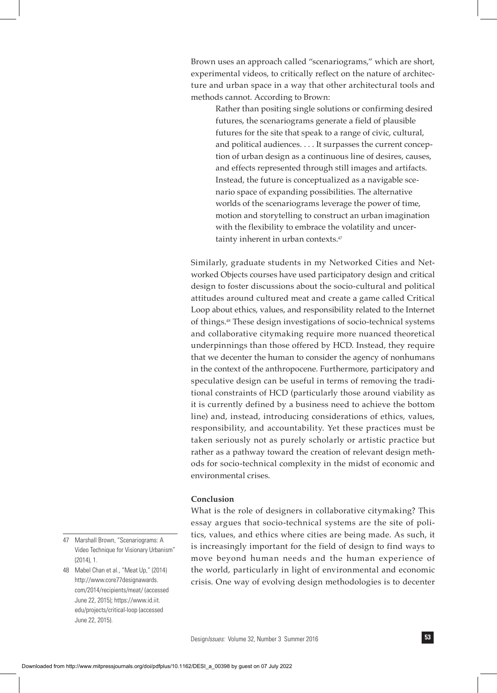Brown uses an approach called "scenariograms," which are short, experimental videos, to critically reflect on the nature of architecture and urban space in a way that other architectural tools and methods cannot. According to Brown:

Rather than positing single solutions or confirming desired futures, the scenariograms generate a field of plausible futures for the site that speak to a range of civic, cultural, and political audiences. . . . It surpasses the current conception of urban design as a continuous line of desires, causes, and effects represented through still images and artifacts. Instead, the future is conceptualized as a navigable scenario space of expanding possibilities. The alternative worlds of the scenariograms leverage the power of time, motion and storytelling to construct an urban imagination with the flexibility to embrace the volatility and uncertainty inherent in urban contexts.<sup>47</sup>

Similarly, graduate students in my Networked Cities and Networked Objects courses have used participatory design and critical design to foster discussions about the socio-cultural and political attitudes around cultured meat and create a game called Critical Loop about ethics, values, and responsibility related to the Internet of things.48 These design investigations of socio-technical systems and collaborative citymaking require more nuanced theoretical underpinnings than those offered by HCD. Instead, they require that we decenter the human to consider the agency of nonhumans in the context of the anthropocene. Furthermore, participatory and speculative design can be useful in terms of removing the traditional constraints of HCD (particularly those around viability as it is currently defined by a business need to achieve the bottom line) and, instead, introducing considerations of ethics, values, responsibility, and accountability. Yet these practices must be taken seriously not as purely scholarly or artistic practice but rather as a pathway toward the creation of relevant design methods for socio-technical complexity in the midst of economic and environmental crises.

### **Conclusion**

What is the role of designers in collaborative citymaking? This essay argues that socio-technical systems are the site of politics, values, and ethics where cities are being made. As such, it is increasingly important for the field of design to find ways to move beyond human needs and the human experience of the world, particularly in light of environmental and economic crisis. One way of evolving design methodologies is to decenter

- 47 Marshall Brown, "Scenariograms: A Video Technique for Visionary Urbanism" (2014), 1.
- 48 Mabel Chan et al., "Meat Up," (2014) http://www.core77designawards. com/2014/recipients/meat/ (accessed June 22, 2015); https://www.id.iit. edu/projects/critical-loop (accessed June 22, 2015).